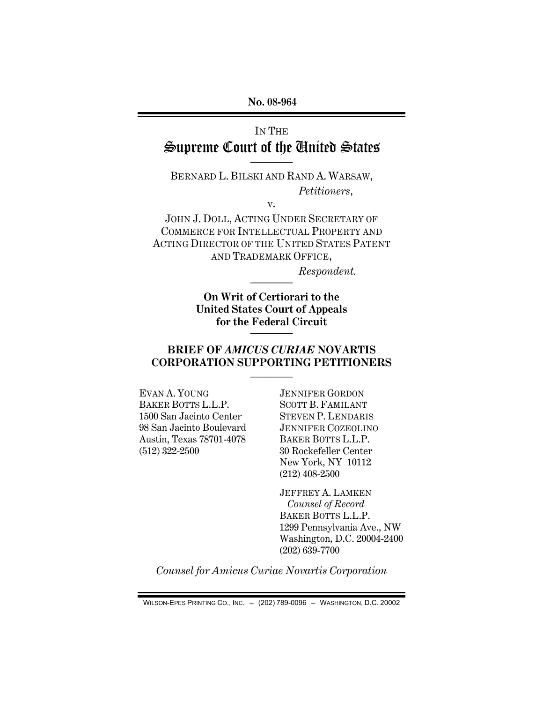**No. 08-964** 

# IN THE Supreme Court of the United States ————

BERNARD L. BILSKI AND RAND A. WARSAW,  *Petitioners*,

v.

JOHN J. DOLL, ACTING UNDER SECRETARY OF COMMERCE FOR INTELLECTUAL PROPERTY AND ACTING DIRECTOR OF THE UNITED STATES PATENT AND TRADEMARK OFFICE,

 *Respondent.* 

**On Writ of Certiorari to the United States Court of Appeals for the Federal Circuit**  ————

————

### **BRIEF OF** *AMICUS CURIAE* **NOVARTIS CORPORATION SUPPORTING PETITIONERS**

————

EVAN A. YOUNG BAKER BOTTS L.L.P. 1500 San Jacinto Center 98 San Jacinto Boulevard Austin, Texas 78701-4078 (512) 322-2500

JENNIFER GORDON SCOTT B. FAMILANT STEVEN P. LENDARIS JENNIFER COZEOLINO BAKER BOTTS L.L.P. 30 Rockefeller Center New York, NY 10112 (212) 408-2500

JEFFREY A. LAMKEN *Counsel of Record*  BAKER BOTTS L.L.P. 1299 Pennsylvania Ave., NW Washington, D.C. 20004-2400 (202) 639-7700

*Counsel for Amicus Curiae Novartis Corporation* 

WILSON-EPES PRINTING CO., INC. – (202) 789-0096 – WASHINGTON, D.C. 20002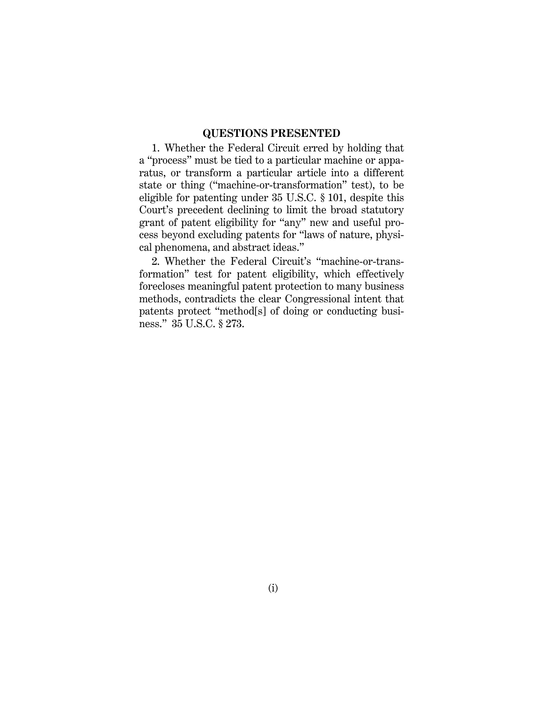#### **QUESTIONS PRESENTED**

1. Whether the Federal Circuit erred by holding that a "process" must be tied to a particular machine or apparatus, or transform a particular article into a different state or thing ("machine-or-transformation" test), to be eligible for patenting under 35 U.S.C. § 101, despite this Court's precedent declining to limit the broad statutory grant of patent eligibility for "any" new and useful process beyond excluding patents for "laws of nature, physical phenomena, and abstract ideas."

2. Whether the Federal Circuit's "machine-or-transformation" test for patent eligibility, which effectively forecloses meaningful patent protection to many business methods, contradicts the clear Congressional intent that patents protect "method[s] of doing or conducting business." 35 U.S.C. § 273.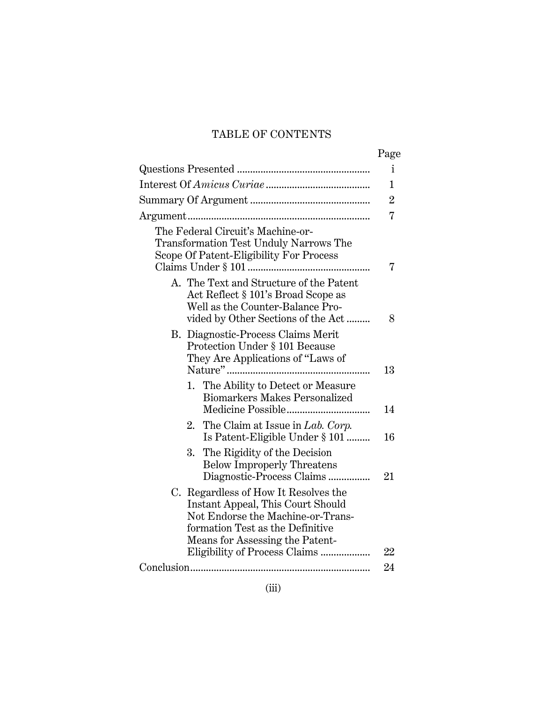# TABLE OF CONTENTS

|                                                                                                                                                                                       | Page           |
|---------------------------------------------------------------------------------------------------------------------------------------------------------------------------------------|----------------|
|                                                                                                                                                                                       | $\mathbf{i}$   |
|                                                                                                                                                                                       | $\mathbf 1$    |
|                                                                                                                                                                                       | $\overline{2}$ |
|                                                                                                                                                                                       | $\overline{7}$ |
| The Federal Circuit's Machine-or-<br>Transformation Test Unduly Narrows The<br>Scope Of Patent-Eligibility For Process                                                                | 7              |
| A. The Text and Structure of the Patent<br>Act Reflect § 101's Broad Scope as<br>Well as the Counter-Balance Pro-<br>vided by Other Sections of the Act                               | 8              |
| B. Diagnostic-Process Claims Merit<br>Protection Under § 101 Because<br>They Are Applications of "Laws of                                                                             | 13             |
| The Ability to Detect or Measure<br>1.<br><b>Biomarkers Makes Personalized</b>                                                                                                        | 14             |
| 2. The Claim at Issue in Lab. Corp.<br>Is Patent-Eligible Under § 101                                                                                                                 | 16             |
| The Rigidity of the Decision<br>3.<br><b>Below Improperly Threatens</b><br>Diagnostic-Process Claims                                                                                  | 21             |
| C. Regardless of How It Resolves the<br>Instant Appeal, This Court Should<br>Not Endorse the Machine-or-Trans-<br>formation Test as the Definitive<br>Means for Assessing the Patent- |                |
| Eligibility of Process Claims                                                                                                                                                         | $22\,$         |
|                                                                                                                                                                                       | 24             |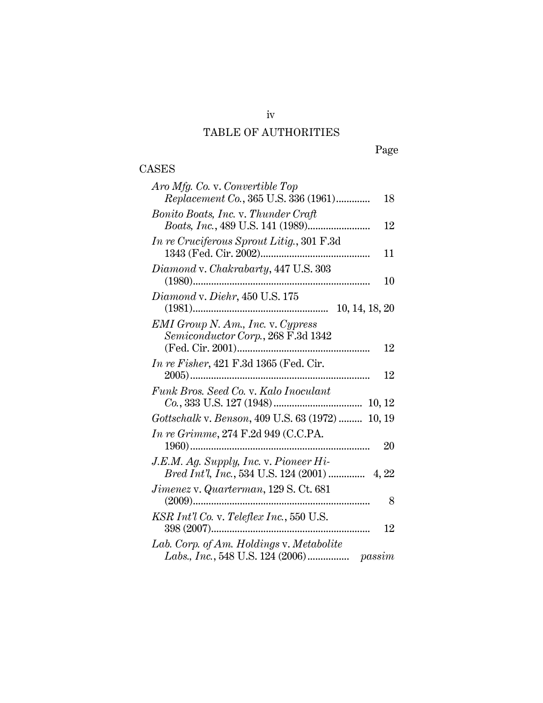# TABLE OF AUTHORITIES

# Page

# CASES

| Aro Mfg. Co. v. Convertible Top                   |    |
|---------------------------------------------------|----|
| Replacement Co., 365 U.S. 336 (1961)              | 18 |
| Bonito Boats, Inc. v. Thunder Craft               |    |
|                                                   | 12 |
| <i>In re Cruciferous Sprout Litig.</i> , 301 F.3d |    |
|                                                   | 11 |
| Diamond v. Chakrabarty, 447 U.S. 303              |    |
|                                                   | 10 |
| Diamond v. Diehr, 450 U.S. 175                    |    |
|                                                   |    |
| <b>EMI</b> Group N. Am., Inc. v. Cypress          |    |
| Semiconductor Corp., 268 F.3d 1342                |    |
|                                                   | 12 |
| In re Fisher, 421 F.3d 1365 (Fed. Cir.            |    |
|                                                   | 12 |
| Funk Bros. Seed Co. v. Kalo Inoculant             |    |
|                                                   |    |
| Gottschalk v. Benson, 409 U.S. 63 (1972)  10, 19  |    |
| In re Grimme, 274 F.2d 949 (C.C.PA.               |    |
|                                                   | 20 |
| J.E.M. Ag. Supply, Inc. v. Pioneer Hi-            |    |
| Bred Int'l, Inc., 534 U.S. 124 (2001)  4, 22      |    |
| Jimenez v. Quarterman, 129 S. Ct. 681             |    |
|                                                   | 8  |
| KSR Int'l Co. v. Teleflex Inc., 550 U.S.          |    |
|                                                   | 12 |
| Lab. Corp. of Am. Holdings v. Metabolite          |    |
|                                                   |    |

iv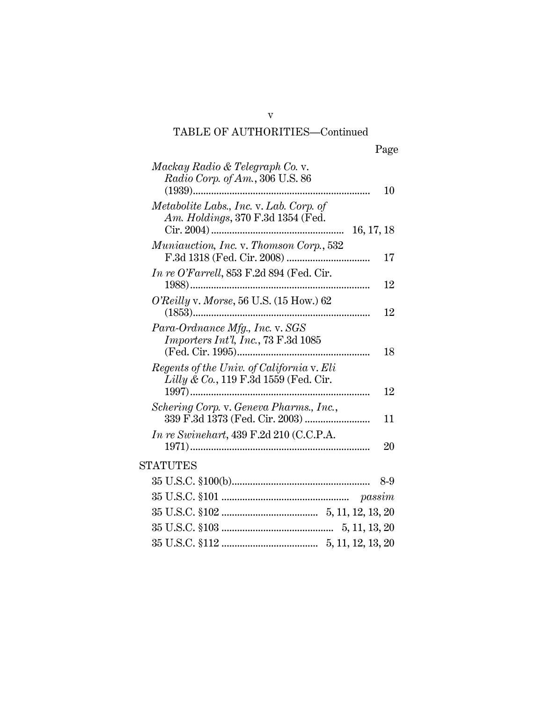# TABLE OF AUTHORITIES—Continued

v

| Mackay Radio & Telegraph Co. v.<br>Radio Corp. of Am., 306 U.S. 86<br>$(1939)$<br>10                         |
|--------------------------------------------------------------------------------------------------------------|
| Metabolite Labs., Inc. v. Lab. Corp. of<br>Am. Holdings, 370 F.3d 1354 (Fed.                                 |
| Muniauction, Inc. v. Thomson Corp., 532<br>17                                                                |
| In re O'Farrell, $853$ F.2d $894$ (Fed. Cir.<br>12                                                           |
| O'Reilly v. Morse, 56 U.S. $(15 \text{ How.}) 62$<br>12                                                      |
| Para-Ordnance Mfg., Inc. v. SGS<br><i>Importers Int'l, Inc.</i> , $73$ F.3d $1085$<br>(Fed. Cir. 1995)<br>18 |
| Regents of the Univ. of California v. Eli<br>Lilly & Co., 119 F.3d 1559 (Fed. Cir.<br>12                     |
| Schering Corp. v. Geneva Pharms., Inc.,<br>11                                                                |
| In re Swinehart, 439 F.2d 210 (C.C.P.A.<br>20                                                                |
| <b>STATUTES</b>                                                                                              |
| 8-9                                                                                                          |
|                                                                                                              |
|                                                                                                              |
|                                                                                                              |
|                                                                                                              |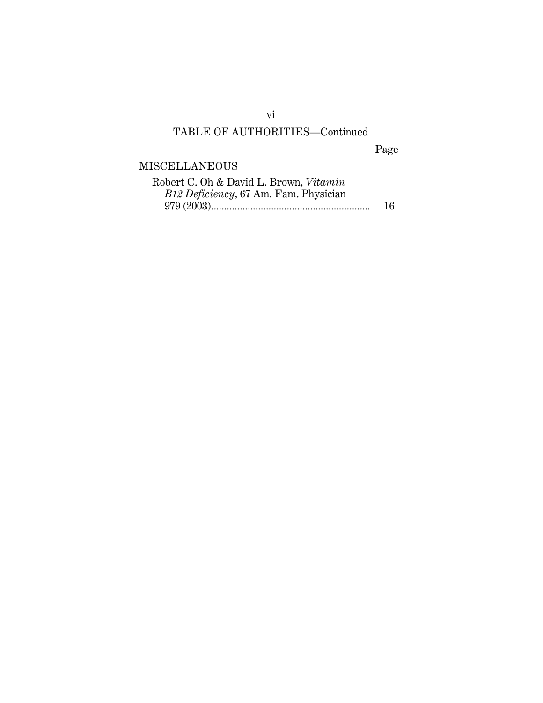# TABLE OF AUTHORITIES—Continued

Page

# MISCELLANEOUS

| Robert C. Oh & David L. Brown, Vitamin |    |
|----------------------------------------|----|
| B12 Deficiency, 67 Am. Fam. Physician  |    |
|                                        | 16 |

vi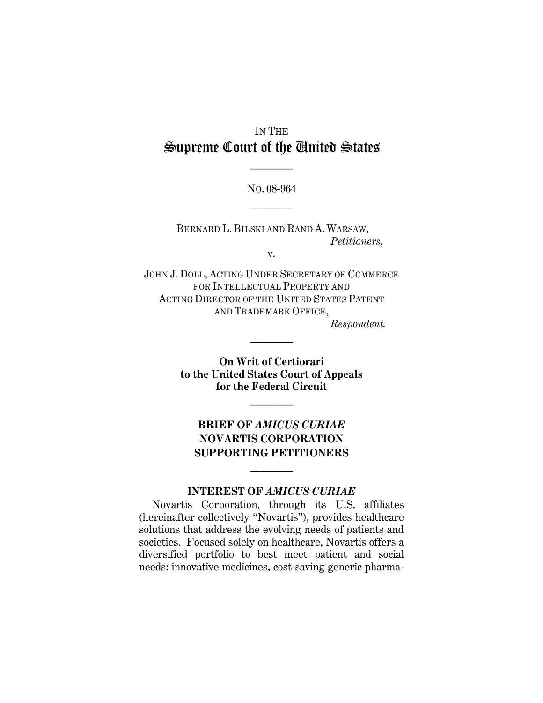# IN THE Supreme Court of the United States

NO. 08-964

————

————

BERNARD L. BILSKI AND RAND A. WARSAW,  *Petitioners*,

v.

JOHN J. DOLL, ACTING UNDER SECRETARY OF COMMERCE FOR INTELLECTUAL PROPERTY AND ACTING DIRECTOR OF THE UNITED STATES PATENT AND TRADEMARK OFFICE,  *Respondent.* 

> **On Writ of Certiorari to the United States Court of Appeals for the Federal Circuit**

> > ————

————

# **BRIEF OF** *AMICUS CURIAE* **NOVARTIS CORPORATION SUPPORTING PETITIONERS**

## **INTEREST OF** *AMICUS CURIAE*

————

Novartis Corporation, through its U.S. affiliates (hereinafter collectively "Novartis"), provides healthcare solutions that address the evolving needs of patients and societies. Focused solely on healthcare, Novartis offers a diversified portfolio to best meet patient and social needs: innovative medicines, cost-saving generic pharma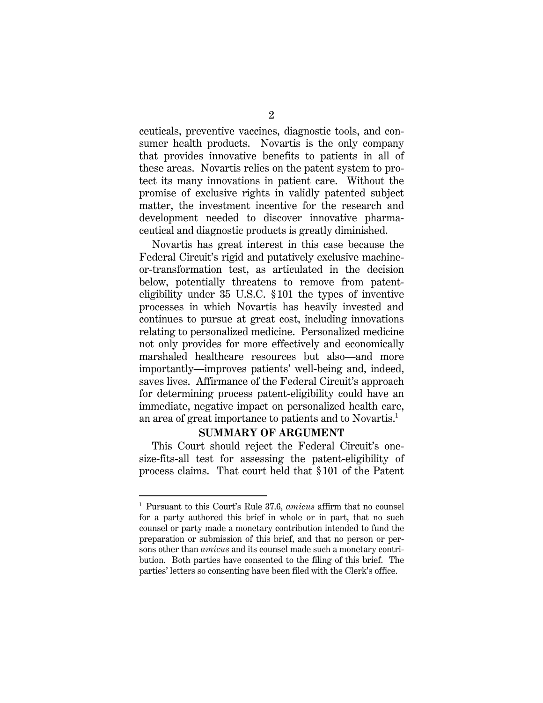ceuticals, preventive vaccines, diagnostic tools, and consumer health products. Novartis is the only company that provides innovative benefits to patients in all of these areas. Novartis relies on the patent system to protect its many innovations in patient care. Without the promise of exclusive rights in validly patented subject matter, the investment incentive for the research and development needed to discover innovative pharmaceutical and diagnostic products is greatly diminished.

Novartis has great interest in this case because the Federal Circuit's rigid and putatively exclusive machineor-transformation test, as articulated in the decision below, potentially threatens to remove from patenteligibility under 35 U.S.C. § 101 the types of inventive processes in which Novartis has heavily invested and continues to pursue at great cost, including innovations relating to personalized medicine. Personalized medicine not only provides for more effectively and economically marshaled healthcare resources but also—and more importantly—improves patients' well-being and, indeed, saves lives. Affirmance of the Federal Circuit's approach for determining process patent-eligibility could have an immediate, negative impact on personalized health care, an area of great importance to patients and to Novartis.<sup>1</sup>

#### **SUMMARY OF ARGUMENT**

This Court should reject the Federal Circuit's onesize-fits-all test for assessing the patent-eligibility of process claims. That court held that § 101 of the Patent

-

<sup>1</sup> Pursuant to this Court's Rule 37.6, *amicus* affirm that no counsel for a party authored this brief in whole or in part, that no such counsel or party made a monetary contribution intended to fund the preparation or submission of this brief, and that no person or persons other than *amicus* and its counsel made such a monetary contribution. Both parties have consented to the filing of this brief. The parties' letters so consenting have been filed with the Clerk's office.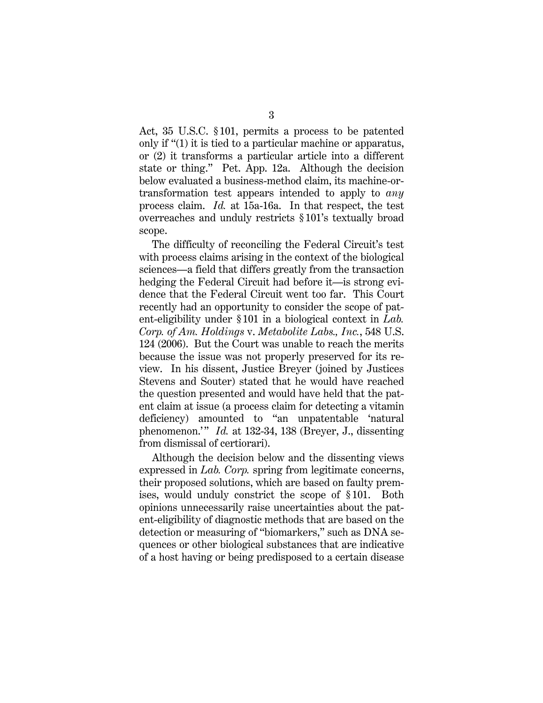Act, 35 U.S.C. § 101, permits a process to be patented only if "(1) it is tied to a particular machine or apparatus, or (2) it transforms a particular article into a different state or thing." Pet. App. 12a. Although the decision below evaluated a business-method claim, its machine-ortransformation test appears intended to apply to *any* process claim. *Id.* at 15a-16a. In that respect, the test overreaches and unduly restricts § 101's textually broad scope.

The difficulty of reconciling the Federal Circuit's test with process claims arising in the context of the biological sciences—a field that differs greatly from the transaction hedging the Federal Circuit had before it—is strong evidence that the Federal Circuit went too far. This Court recently had an opportunity to consider the scope of patent-eligibility under §101 in a biological context in *Lab. Corp. of Am. Holdings* v. *Metabolite Labs., Inc.*, 548 U.S. 124 (2006). But the Court was unable to reach the merits because the issue was not properly preserved for its review. In his dissent, Justice Breyer (joined by Justices Stevens and Souter) stated that he would have reached the question presented and would have held that the patent claim at issue (a process claim for detecting a vitamin deficiency) amounted to "an unpatentable 'natural phenomenon.'" *Id.* at 132-34, 138 (Breyer, J., dissenting from dismissal of certiorari).

Although the decision below and the dissenting views expressed in *Lab. Corp.* spring from legitimate concerns, their proposed solutions, which are based on faulty premises, would unduly constrict the scope of §101. Both opinions unnecessarily raise uncertainties about the patent-eligibility of diagnostic methods that are based on the detection or measuring of "biomarkers," such as DNA sequences or other biological substances that are indicative of a host having or being predisposed to a certain disease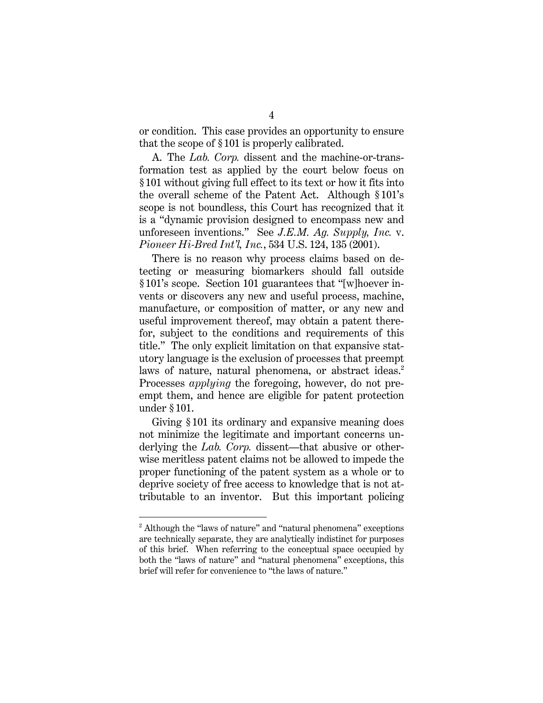or condition. This case provides an opportunity to ensure that the scope of § 101 is properly calibrated.

A. The *Lab. Corp.* dissent and the machine-or-transformation test as applied by the court below focus on § 101 without giving full effect to its text or how it fits into the overall scheme of the Patent Act. Although § 101's scope is not boundless, this Court has recognized that it is a "dynamic provision designed to encompass new and unforeseen inventions." See *J.E.M. Ag. Supply, Inc.* v. *Pioneer Hi-Bred Int'l, Inc.*, 534 U.S. 124, 135 (2001).

There is no reason why process claims based on detecting or measuring biomarkers should fall outside § 101's scope. Section 101 guarantees that "[w]hoever invents or discovers any new and useful process, machine, manufacture, or composition of matter, or any new and useful improvement thereof, may obtain a patent therefor, subject to the conditions and requirements of this title." The only explicit limitation on that expansive statutory language is the exclusion of processes that preempt laws of nature, natural phenomena, or abstract ideas.<sup>2</sup> Processes *applying* the foregoing, however, do not preempt them, and hence are eligible for patent protection under § 101.

Giving § 101 its ordinary and expansive meaning does not minimize the legitimate and important concerns underlying the *Lab. Corp.* dissent—that abusive or otherwise meritless patent claims not be allowed to impede the proper functioning of the patent system as a whole or to deprive society of free access to knowledge that is not attributable to an inventor. But this important policing

<u>.</u>

<sup>&</sup>lt;sup>2</sup> Although the "laws of nature" and "natural phenomena" exceptions are technically separate, they are analytically indistinct for purposes of this brief. When referring to the conceptual space occupied by both the "laws of nature" and "natural phenomena" exceptions, this brief will refer for convenience to "the laws of nature."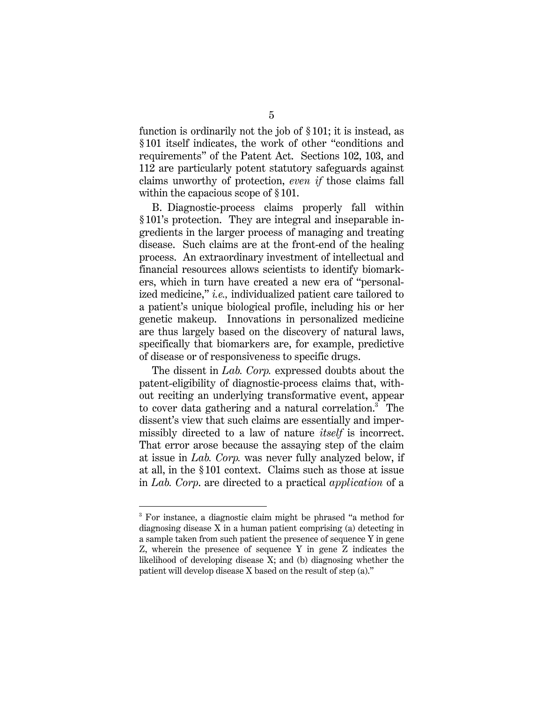function is ordinarily not the job of § 101; it is instead, as § 101 itself indicates, the work of other "conditions and requirements" of the Patent Act. Sections 102, 103, and 112 are particularly potent statutory safeguards against claims unworthy of protection, *even if* those claims fall within the capacious scope of  $\S 101$ .

B. Diagnostic-process claims properly fall within § 101's protection. They are integral and inseparable ingredients in the larger process of managing and treating disease. Such claims are at the front-end of the healing process. An extraordinary investment of intellectual and financial resources allows scientists to identify biomarkers, which in turn have created a new era of "personalized medicine," *i.e.,* individualized patient care tailored to a patient's unique biological profile, including his or her genetic makeup. Innovations in personalized medicine are thus largely based on the discovery of natural laws, specifically that biomarkers are, for example, predictive of disease or of responsiveness to specific drugs.

The dissent in *Lab. Corp.* expressed doubts about the patent-eligibility of diagnostic-process claims that, without reciting an underlying transformative event, appear to cover data gathering and a natural correlation.<sup>3</sup> The dissent's view that such claims are essentially and impermissibly directed to a law of nature *itself* is incorrect. That error arose because the assaying step of the claim at issue in *Lab. Corp.* was never fully analyzed below, if at all, in the § 101 context. Claims such as those at issue in *Lab. Corp*. are directed to a practical *application* of a

<u>.</u>

<sup>&</sup>lt;sup>3</sup> For instance, a diagnostic claim might be phrased "a method for diagnosing disease X in a human patient comprising (a) detecting in a sample taken from such patient the presence of sequence Y in gene Z, wherein the presence of sequence Y in gene Z indicates the likelihood of developing disease X; and (b) diagnosing whether the patient will develop disease X based on the result of step (a)."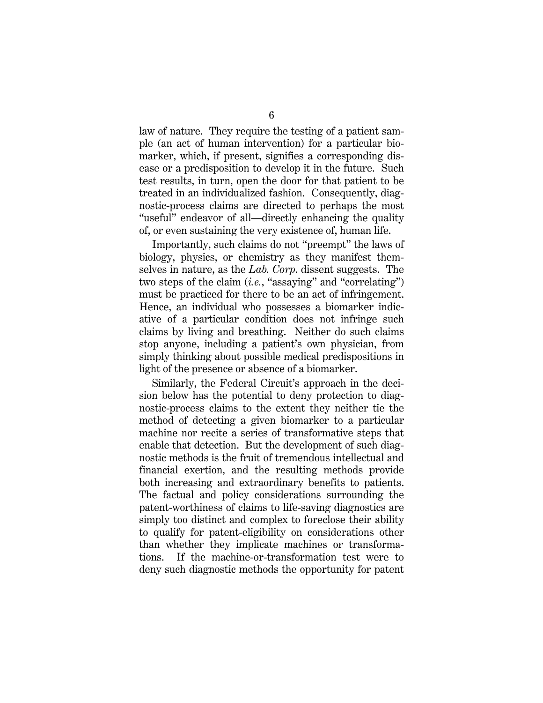law of nature. They require the testing of a patient sample (an act of human intervention) for a particular biomarker, which, if present, signifies a corresponding disease or a predisposition to develop it in the future. Such test results, in turn, open the door for that patient to be treated in an individualized fashion. Consequently, diagnostic-process claims are directed to perhaps the most "useful" endeavor of all—directly enhancing the quality of, or even sustaining the very existence of, human life.

Importantly, such claims do not "preempt" the laws of biology, physics, or chemistry as they manifest themselves in nature, as the *Lab. Corp*. dissent suggests. The two steps of the claim (*i.e.*, "assaying" and "correlating") must be practiced for there to be an act of infringement. Hence, an individual who possesses a biomarker indicative of a particular condition does not infringe such claims by living and breathing. Neither do such claims stop anyone, including a patient's own physician, from simply thinking about possible medical predispositions in light of the presence or absence of a biomarker.

Similarly, the Federal Circuit's approach in the decision below has the potential to deny protection to diagnostic-process claims to the extent they neither tie the method of detecting a given biomarker to a particular machine nor recite a series of transformative steps that enable that detection. But the development of such diagnostic methods is the fruit of tremendous intellectual and financial exertion, and the resulting methods provide both increasing and extraordinary benefits to patients. The factual and policy considerations surrounding the patent-worthiness of claims to life-saving diagnostics are simply too distinct and complex to foreclose their ability to qualify for patent-eligibility on considerations other than whether they implicate machines or transformations. If the machine-or-transformation test were to deny such diagnostic methods the opportunity for patent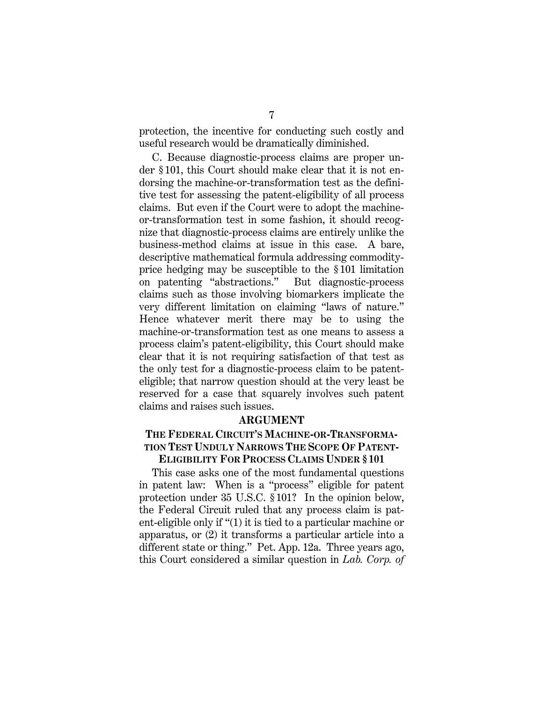protection, the incentive for conducting such costly and useful research would be dramatically diminished.

C. Because diagnostic-process claims are proper under § 101, this Court should make clear that it is not endorsing the machine-or-transformation test as the definitive test for assessing the patent-eligibility of all process claims. But even if the Court were to adopt the machineor-transformation test in some fashion, it should recognize that diagnostic-process claims are entirely unlike the business-method claims at issue in this case. A bare, descriptive mathematical formula addressing commodityprice hedging may be susceptible to the § 101 limitation on patenting "abstractions." But diagnostic-process claims such as those involving biomarkers implicate the very different limitation on claiming "laws of nature." Hence whatever merit there may be to using the machine-or-transformation test as one means to assess a process claim's patent-eligibility, this Court should make clear that it is not requiring satisfaction of that test as the only test for a diagnostic-process claim to be patenteligible; that narrow question should at the very least be reserved for a case that squarely involves such patent claims and raises such issues.

#### **ARGUMENT**

### **THE FEDERAL CIRCUIT'S MACHINE-OR-TRANSFORMA-TION TEST UNDULY NARROWS THE SCOPE OF PATENT-ELIGIBILITY FOR PROCESS CLAIMS UNDER §101**

This case asks one of the most fundamental questions in patent law: When is a "process" eligible for patent protection under 35 U.S.C. § 101? In the opinion below, the Federal Circuit ruled that any process claim is patent-eligible only if "(1) it is tied to a particular machine or apparatus, or (2) it transforms a particular article into a different state or thing." Pet. App. 12a. Three years ago, this Court considered a similar question in *Lab. Corp. of*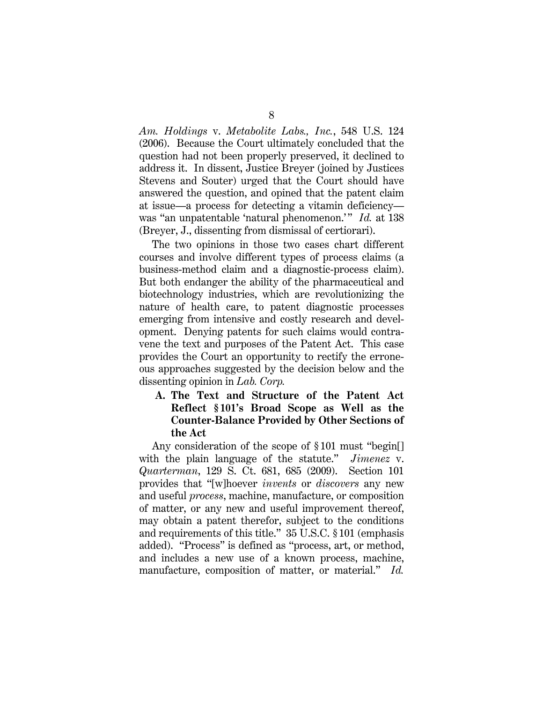*Am. Holdings* v. *Metabolite Labs., Inc.*, 548 U.S. 124 (2006). Because the Court ultimately concluded that the question had not been properly preserved, it declined to address it. In dissent, Justice Breyer (joined by Justices Stevens and Souter) urged that the Court should have answered the question, and opined that the patent claim at issue—a process for detecting a vitamin deficiency was "an unpatentable 'natural phenomenon.'" *Id.* at 138 (Breyer, J., dissenting from dismissal of certiorari).

The two opinions in those two cases chart different courses and involve different types of process claims (a business-method claim and a diagnostic-process claim). But both endanger the ability of the pharmaceutical and biotechnology industries, which are revolutionizing the nature of health care, to patent diagnostic processes emerging from intensive and costly research and development. Denying patents for such claims would contravene the text and purposes of the Patent Act. This case provides the Court an opportunity to rectify the erroneous approaches suggested by the decision below and the dissenting opinion in *Lab. Corp.*

## **A. The Text and Structure of the Patent Act Reflect § 101's Broad Scope as Well as the Counter-Balance Provided by Other Sections of the Act**

Any consideration of the scope of § 101 must "begin[] with the plain language of the statute." *Jimenez* v. *Quarterman*, 129 S. Ct. 681, 685 (2009). Section 101 provides that "[w]hoever *invents* or *discovers* any new and useful *process*, machine, manufacture, or composition of matter, or any new and useful improvement thereof, may obtain a patent therefor, subject to the conditions and requirements of this title." 35 U.S.C. § 101 (emphasis added). "Process" is defined as "process, art, or method, and includes a new use of a known process, machine, manufacture, composition of matter, or material." *Id.*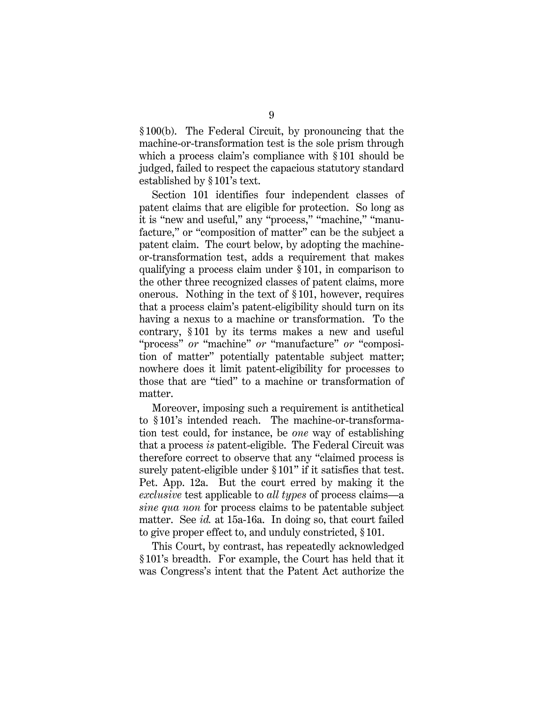§ 100(b). The Federal Circuit, by pronouncing that the machine-or-transformation test is the sole prism through which a process claim's compliance with § 101 should be judged, failed to respect the capacious statutory standard established by § 101's text.

Section 101 identifies four independent classes of patent claims that are eligible for protection. So long as it is "new and useful," any "process," "machine," "manufacture," or "composition of matter" can be the subject a patent claim. The court below, by adopting the machineor-transformation test, adds a requirement that makes qualifying a process claim under § 101, in comparison to the other three recognized classes of patent claims, more onerous. Nothing in the text of § 101, however, requires that a process claim's patent-eligibility should turn on its having a nexus to a machine or transformation. To the contrary, § 101 by its terms makes a new and useful "process" *or* "machine" *or* "manufacture" *or* "composition of matter" potentially patentable subject matter; nowhere does it limit patent-eligibility for processes to those that are "tied" to a machine or transformation of matter.

Moreover, imposing such a requirement is antithetical to § 101's intended reach. The machine-or-transformation test could, for instance, be *one* way of establishing that a process *is* patent-eligible. The Federal Circuit was therefore correct to observe that any "claimed process is surely patent-eligible under § 101" if it satisfies that test. Pet. App. 12a. But the court erred by making it the *exclusive* test applicable to *all types* of process claims—a *sine qua non* for process claims to be patentable subject matter. See *id.* at 15a-16a. In doing so, that court failed to give proper effect to, and unduly constricted, § 101.

This Court, by contrast, has repeatedly acknowledged § 101's breadth. For example, the Court has held that it was Congress's intent that the Patent Act authorize the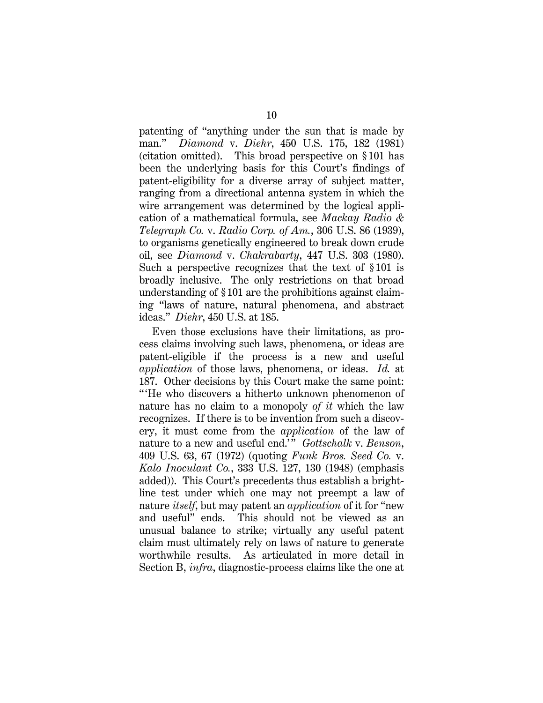patenting of "anything under the sun that is made by man." *Diamond* v. *Diehr*, 450 U.S. 175, 182 (1981) (citation omitted). This broad perspective on § 101 has been the underlying basis for this Court's findings of patent-eligibility for a diverse array of subject matter, ranging from a directional antenna system in which the wire arrangement was determined by the logical application of a mathematical formula, see *Mackay Radio & Telegraph Co.* v. *Radio Corp. of Am.*, 306 U.S. 86 (1939), to organisms genetically engineered to break down crude oil, see *Diamond* v. *Chakrabarty*, 447 U.S. 303 (1980). Such a perspective recognizes that the text of §101 is broadly inclusive. The only restrictions on that broad understanding of § 101 are the prohibitions against claiming "laws of nature, natural phenomena, and abstract ideas." *Diehr*, 450 U.S. at 185.

Even those exclusions have their limitations, as process claims involving such laws, phenomena, or ideas are patent-eligible if the process is a new and useful *application* of those laws, phenomena, or ideas. *Id.* at 187. Other decisions by this Court make the same point: " 'He who discovers a hitherto unknown phenomenon of nature has no claim to a monopoly *of it* which the law recognizes. If there is to be invention from such a discovery, it must come from the *application* of the law of nature to a new and useful end.' " *Gottschalk* v. *Benson*, 409 U.S. 63, 67 (1972) (quoting *Funk Bros. Seed Co.* v. *Kalo Inoculant Co.*, 333 U.S. 127, 130 (1948) (emphasis added)). This Court's precedents thus establish a brightline test under which one may not preempt a law of nature *itself*, but may patent an *application* of it for "new and useful" ends. This should not be viewed as an unusual balance to strike; virtually any useful patent claim must ultimately rely on laws of nature to generate worthwhile results. As articulated in more detail in Section B, *infra*, diagnostic-process claims like the one at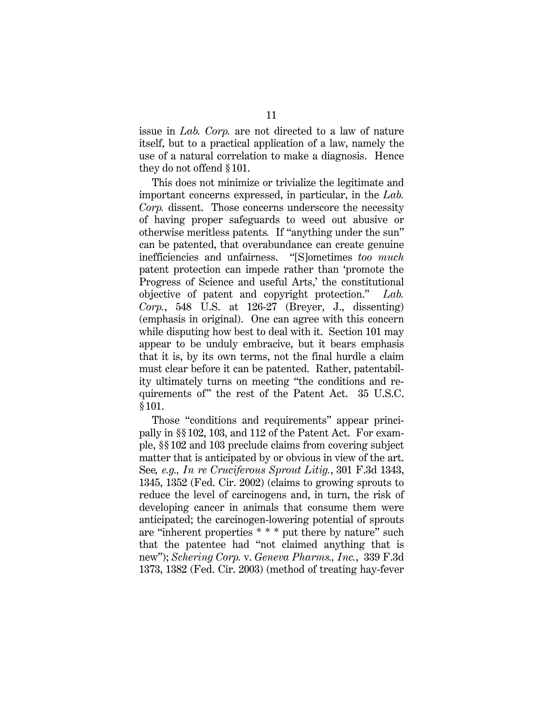issue in *Lab. Corp.* are not directed to a law of nature itself, but to a practical application of a law, namely the use of a natural correlation to make a diagnosis. Hence they do not offend § 101.

This does not minimize or trivialize the legitimate and important concerns expressed, in particular, in the *Lab. Corp.* dissent. Those concerns underscore the necessity of having proper safeguards to weed out abusive or otherwise meritless patents*.* If "anything under the sun" can be patented, that overabundance can create genuine inefficiencies and unfairness. "[S]ometimes *too much*  patent protection can impede rather than 'promote the Progress of Science and useful Arts,' the constitutional objective of patent and copyright protection." *Lab. Corp.*, 548 U.S. at 126-27 (Breyer, J., dissenting) (emphasis in original). One can agree with this concern while disputing how best to deal with it. Section 101 may appear to be unduly embracive, but it bears emphasis that it is, by its own terms, not the final hurdle a claim must clear before it can be patented. Rather, patentability ultimately turns on meeting "the conditions and requirements of" the rest of the Patent Act. 35 U.S.C. § 101.

Those "conditions and requirements" appear principally in §§ 102, 103, and 112 of the Patent Act. For example, §§ 102 and 103 preclude claims from covering subject matter that is anticipated by or obvious in view of the art. See*, e.g., In re Cruciferous Sprout Litig.*, 301 F.3d 1343, 1345, 1352 (Fed. Cir. 2002) (claims to growing sprouts to reduce the level of carcinogens and, in turn, the risk of developing cancer in animals that consume them were anticipated; the carcinogen-lowering potential of sprouts are "inherent properties \* \* \* put there by nature" such that the patentee had "not claimed anything that is new"); *Schering Corp.* v. *Geneva Pharms., Inc.*, 339 F.3d 1373, 1382 (Fed. Cir. 2003) (method of treating hay-fever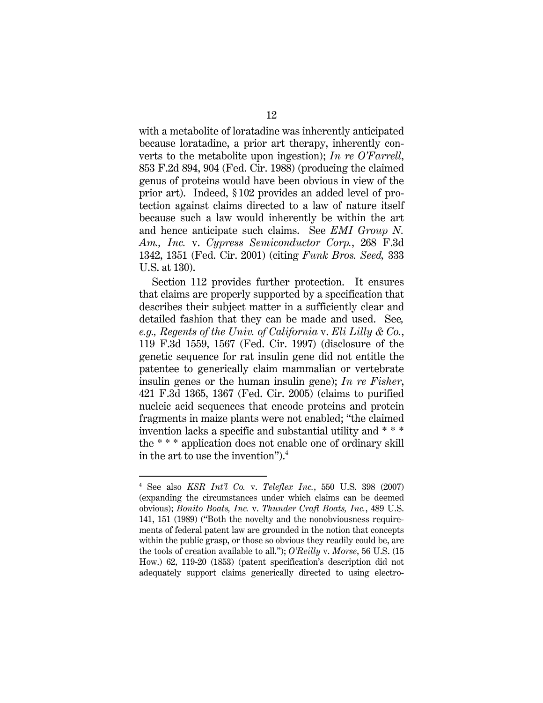with a metabolite of loratadine was inherently anticipated because loratadine, a prior art therapy, inherently converts to the metabolite upon ingestion); *In re O'Farrell*, 853 F.2d 894, 904 (Fed. Cir. 1988) (producing the claimed genus of proteins would have been obvious in view of the prior art). Indeed, § 102 provides an added level of protection against claims directed to a law of nature itself because such a law would inherently be within the art and hence anticipate such claims. See *EMI Group N. Am., Inc.* v. *Cypress Semiconductor Corp.*, 268 F.3d 1342, 1351 (Fed. Cir. 2001) (citing *Funk Bros. Seed,* 333 U.S. at 130).

Section 112 provides further protection. It ensures that claims are properly supported by a specification that describes their subject matter in a sufficiently clear and detailed fashion that they can be made and used. See*, e.g., Regents of the Univ. of California* v. *Eli Lilly & Co.*, 119 F.3d 1559, 1567 (Fed. Cir. 1997) (disclosure of the genetic sequence for rat insulin gene did not entitle the patentee to generically claim mammalian or vertebrate insulin genes or the human insulin gene); *In re Fisher*, 421 F.3d 1365, 1367 (Fed. Cir. 2005) (claims to purified nucleic acid sequences that encode proteins and protein fragments in maize plants were not enabled; "the claimed invention lacks a specific and substantial utility and \* \* \* the \* \* \* application does not enable one of ordinary skill in the art to use the invention").4

<u>.</u>

<sup>4</sup> See also *KSR Int'l Co.* v. *Teleflex Inc.*, 550 U.S. 398 (2007) (expanding the circumstances under which claims can be deemed obvious); *Bonito Boats, Inc.* v. *Thunder Craft Boats, Inc.*, 489 U.S. 141, 151 (1989) ("Both the novelty and the nonobviousness requirements of federal patent law are grounded in the notion that concepts within the public grasp, or those so obvious they readily could be, are the tools of creation available to all."); *O'Reilly* v. *Morse*, 56 U.S. (15 How.) 62, 119-20 (1853) (patent specification's description did not adequately support claims generically directed to using electro-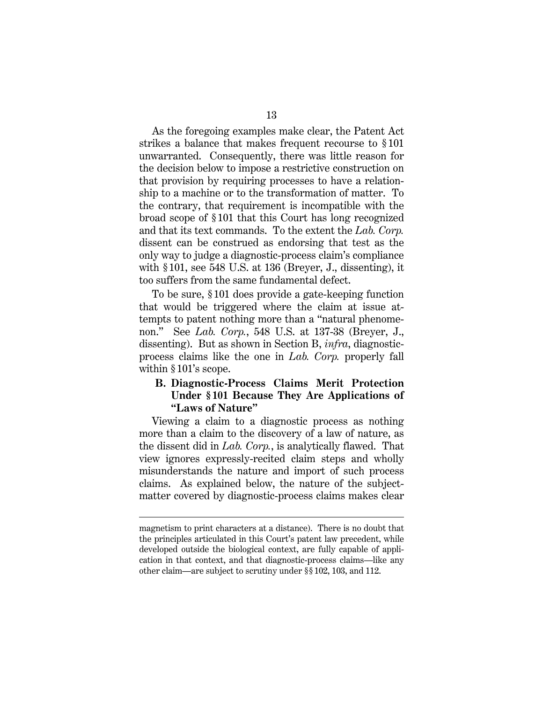As the foregoing examples make clear, the Patent Act strikes a balance that makes frequent recourse to § 101 unwarranted. Consequently, there was little reason for the decision below to impose a restrictive construction on that provision by requiring processes to have a relationship to a machine or to the transformation of matter. To the contrary, that requirement is incompatible with the broad scope of § 101 that this Court has long recognized and that its text commands. To the extent the *Lab. Corp.* dissent can be construed as endorsing that test as the only way to judge a diagnostic-process claim's compliance with § 101, see 548 U.S. at 136 (Breyer, J., dissenting), it too suffers from the same fundamental defect.

To be sure, § 101 does provide a gate-keeping function that would be triggered where the claim at issue attempts to patent nothing more than a "natural phenomenon." See *Lab. Corp.*, 548 U.S. at 137-38 (Breyer, J., dissenting). But as shown in Section B, *infra*, diagnosticprocess claims like the one in *Lab. Corp.* properly fall within §101's scope.

## **B. Diagnostic-Process Claims Merit Protection Under § 101 Because They Are Applications of "Laws of Nature"**

Viewing a claim to a diagnostic process as nothing more than a claim to the discovery of a law of nature, as the dissent did in *Lab. Corp.*, is analytically flawed. That view ignores expressly-recited claim steps and wholly misunderstands the nature and import of such process claims. As explained below, the nature of the subjectmatter covered by diagnostic-process claims makes clear

 $\overline{a}$ 

magnetism to print characters at a distance). There is no doubt that the principles articulated in this Court's patent law precedent, while developed outside the biological context, are fully capable of application in that context, and that diagnostic-process claims—like any other claim—are subject to scrutiny under §§ 102, 103, and 112.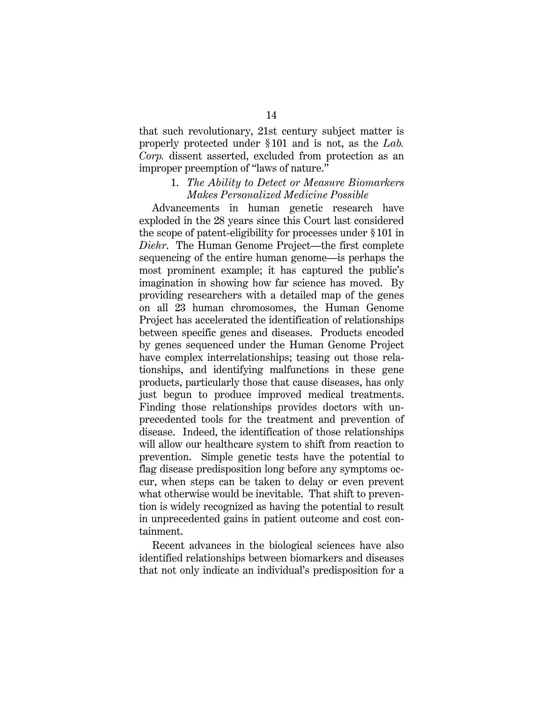that such revolutionary, 21st century subject matter is properly protected under § 101 and is not, as the *Lab. Corp.* dissent asserted, excluded from protection as an improper preemption of "laws of nature."

### 1. *The Ability to Detect or Measure Biomarkers Makes Personalized Medicine Possible*

Advancements in human genetic research have exploded in the 28 years since this Court last considered the scope of patent-eligibility for processes under § 101 in *Diehr*. The Human Genome Project—the first complete sequencing of the entire human genome—is perhaps the most prominent example; it has captured the public's imagination in showing how far science has moved. By providing researchers with a detailed map of the genes on all 23 human chromosomes, the Human Genome Project has accelerated the identification of relationships between specific genes and diseases. Products encoded by genes sequenced under the Human Genome Project have complex interrelationships; teasing out those relationships, and identifying malfunctions in these gene products, particularly those that cause diseases, has only just begun to produce improved medical treatments. Finding those relationships provides doctors with unprecedented tools for the treatment and prevention of disease. Indeed, the identification of those relationships will allow our healthcare system to shift from reaction to prevention. Simple genetic tests have the potential to flag disease predisposition long before any symptoms occur, when steps can be taken to delay or even prevent what otherwise would be inevitable. That shift to prevention is widely recognized as having the potential to result in unprecedented gains in patient outcome and cost containment.

Recent advances in the biological sciences have also identified relationships between biomarkers and diseases that not only indicate an individual's predisposition for a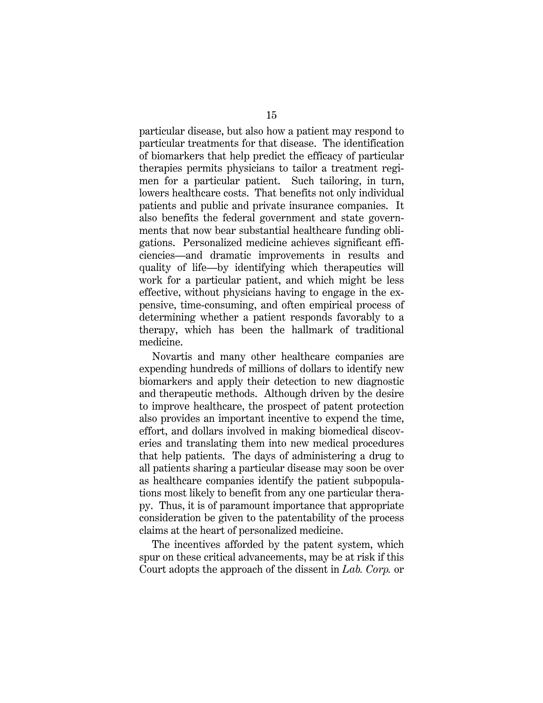particular disease, but also how a patient may respond to particular treatments for that disease. The identification of biomarkers that help predict the efficacy of particular therapies permits physicians to tailor a treatment regimen for a particular patient. Such tailoring, in turn, lowers healthcare costs. That benefits not only individual patients and public and private insurance companies. It also benefits the federal government and state governments that now bear substantial healthcare funding obligations. Personalized medicine achieves significant efficiencies—and dramatic improvements in results and quality of life—by identifying which therapeutics will work for a particular patient, and which might be less effective, without physicians having to engage in the expensive, time-consuming, and often empirical process of determining whether a patient responds favorably to a therapy, which has been the hallmark of traditional medicine.

Novartis and many other healthcare companies are expending hundreds of millions of dollars to identify new biomarkers and apply their detection to new diagnostic and therapeutic methods. Although driven by the desire to improve healthcare, the prospect of patent protection also provides an important incentive to expend the time, effort, and dollars involved in making biomedical discoveries and translating them into new medical procedures that help patients. The days of administering a drug to all patients sharing a particular disease may soon be over as healthcare companies identify the patient subpopulations most likely to benefit from any one particular therapy. Thus, it is of paramount importance that appropriate consideration be given to the patentability of the process claims at the heart of personalized medicine.

The incentives afforded by the patent system, which spur on these critical advancements, may be at risk if this Court adopts the approach of the dissent in *Lab. Corp.* or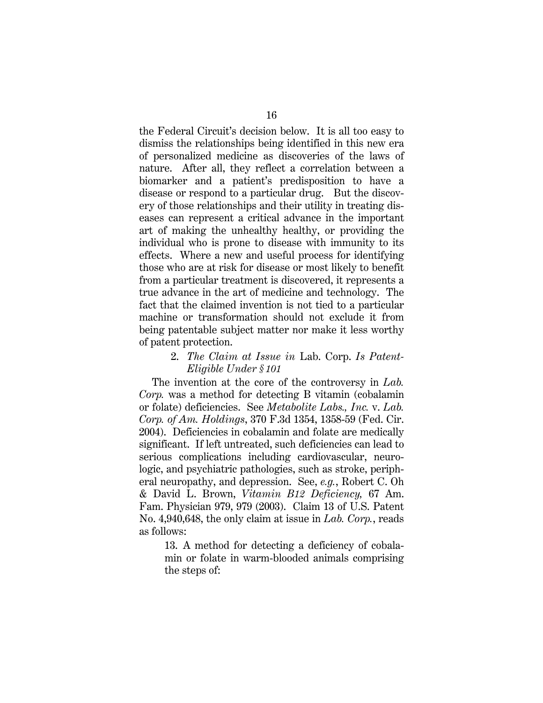the Federal Circuit's decision below. It is all too easy to dismiss the relationships being identified in this new era of personalized medicine as discoveries of the laws of nature. After all, they reflect a correlation between a biomarker and a patient's predisposition to have a disease or respond to a particular drug. But the discovery of those relationships and their utility in treating diseases can represent a critical advance in the important art of making the unhealthy healthy, or providing the individual who is prone to disease with immunity to its effects. Where a new and useful process for identifying those who are at risk for disease or most likely to benefit from a particular treatment is discovered, it represents a true advance in the art of medicine and technology. The fact that the claimed invention is not tied to a particular machine or transformation should not exclude it from being patentable subject matter nor make it less worthy of patent protection.

> 2. *The Claim at Issue in* Lab. Corp. *Is Patent-Eligible Under § 101*

The invention at the core of the controversy in *Lab. Corp.* was a method for detecting B vitamin (cobalamin or folate) deficiencies. See *Metabolite Labs., Inc.* v. *Lab. Corp. of Am. Holdings*, 370 F.3d 1354, 1358-59 (Fed. Cir. 2004). Deficiencies in cobalamin and folate are medically significant. If left untreated, such deficiencies can lead to serious complications including cardiovascular, neurologic, and psychiatric pathologies, such as stroke, peripheral neuropathy, and depression. See, *e.g.*, Robert C. Oh & David L. Brown, *Vitamin B12 Deficiency,* 67 Am. Fam. Physician 979, 979 (2003). Claim 13 of U.S. Patent No. 4,940,648, the only claim at issue in *Lab. Corp.*, reads as follows:

13. A method for detecting a deficiency of cobalamin or folate in warm-blooded animals comprising the steps of: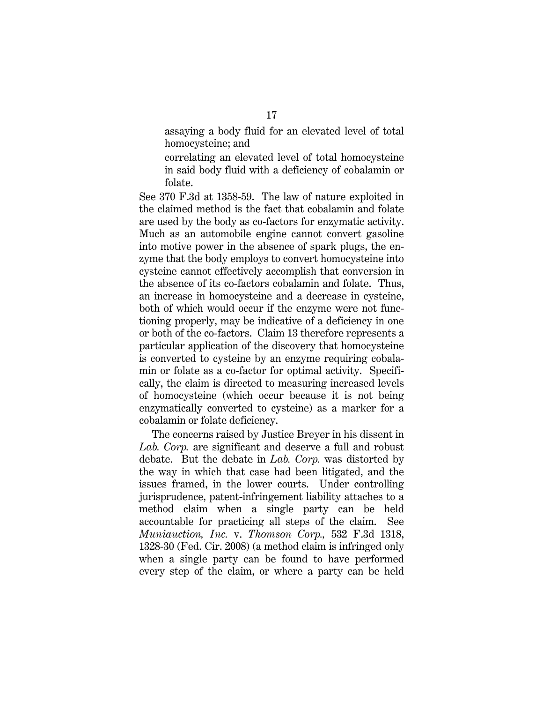assaying a body fluid for an elevated level of total homocysteine; and

correlating an elevated level of total homocysteine in said body fluid with a deficiency of cobalamin or folate.

See 370 F.3d at 1358-59. The law of nature exploited in the claimed method is the fact that cobalamin and folate are used by the body as co-factors for enzymatic activity. Much as an automobile engine cannot convert gasoline into motive power in the absence of spark plugs, the enzyme that the body employs to convert homocysteine into cysteine cannot effectively accomplish that conversion in the absence of its co-factors cobalamin and folate. Thus, an increase in homocysteine and a decrease in cysteine, both of which would occur if the enzyme were not functioning properly, may be indicative of a deficiency in one or both of the co-factors. Claim 13 therefore represents a particular application of the discovery that homocysteine is converted to cysteine by an enzyme requiring cobalamin or folate as a co-factor for optimal activity. Specifically, the claim is directed to measuring increased levels of homocysteine (which occur because it is not being enzymatically converted to cysteine) as a marker for a cobalamin or folate deficiency.

The concerns raised by Justice Breyer in his dissent in *Lab. Corp.* are significant and deserve a full and robust debate. But the debate in *Lab. Corp.* was distorted by the way in which that case had been litigated, and the issues framed, in the lower courts. Under controlling jurisprudence, patent-infringement liability attaches to a method claim when a single party can be held accountable for practicing all steps of the claim. See *Muniauction, Inc.* v. *Thomson Corp.,* 532 F.3d 1318, 1328-30 (Fed. Cir. 2008) (a method claim is infringed only when a single party can be found to have performed every step of the claim, or where a party can be held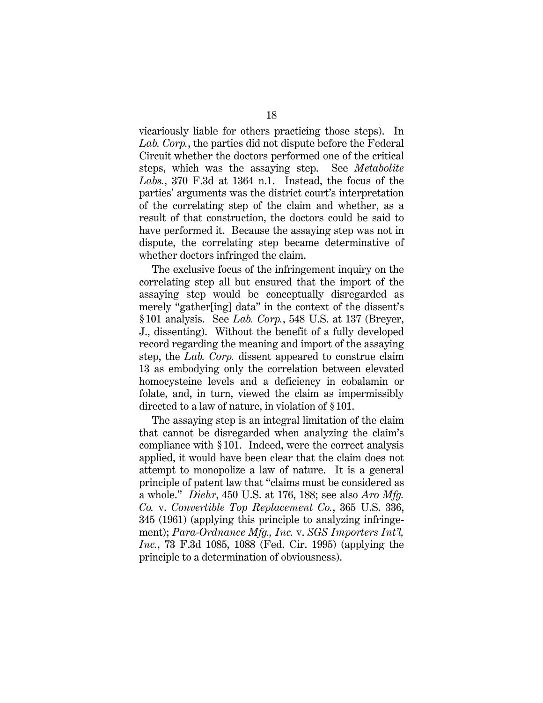vicariously liable for others practicing those steps). In *Lab. Corp.*, the parties did not dispute before the Federal Circuit whether the doctors performed one of the critical steps, which was the assaying step. See *Metabolite Labs.*, 370 F.3d at 1364 n.1. Instead, the focus of the parties' arguments was the district court's interpretation of the correlating step of the claim and whether, as a result of that construction, the doctors could be said to have performed it. Because the assaying step was not in dispute, the correlating step became determinative of whether doctors infringed the claim.

The exclusive focus of the infringement inquiry on the correlating step all but ensured that the import of the assaying step would be conceptually disregarded as merely "gather[ing] data" in the context of the dissent's § 101 analysis. See *Lab. Corp.*, 548 U.S. at 137 (Breyer, J., dissenting). Without the benefit of a fully developed record regarding the meaning and import of the assaying step, the *Lab. Corp.* dissent appeared to construe claim 13 as embodying only the correlation between elevated homocysteine levels and a deficiency in cobalamin or folate, and, in turn, viewed the claim as impermissibly directed to a law of nature, in violation of § 101.

The assaying step is an integral limitation of the claim that cannot be disregarded when analyzing the claim's compliance with § 101. Indeed, were the correct analysis applied, it would have been clear that the claim does not attempt to monopolize a law of nature. It is a general principle of patent law that "claims must be considered as a whole." *Diehr*, 450 U.S. at 176, 188; see also *Aro Mfg. Co.* v. *Convertible Top Replacement Co.*, 365 U.S. 336, 345 (1961) (applying this principle to analyzing infringement); *Para-Ordnance Mfg., Inc.* v. *SGS Importers Int'l, Inc.*, 73 F.3d 1085, 1088 (Fed. Cir. 1995) (applying the principle to a determination of obviousness).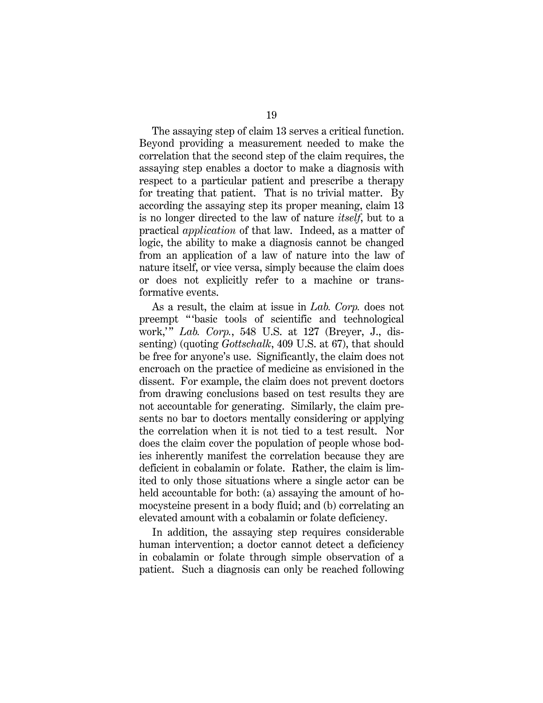The assaying step of claim 13 serves a critical function. Beyond providing a measurement needed to make the correlation that the second step of the claim requires, the assaying step enables a doctor to make a diagnosis with respect to a particular patient and prescribe a therapy for treating that patient. That is no trivial matter. By according the assaying step its proper meaning, claim 13 is no longer directed to the law of nature *itself*, but to a practical *application* of that law. Indeed, as a matter of logic, the ability to make a diagnosis cannot be changed from an application of a law of nature into the law of nature itself, or vice versa, simply because the claim does or does not explicitly refer to a machine or transformative events.

As a result, the claim at issue in *Lab. Corp.* does not preempt " 'basic tools of scientific and technological work," *Lab. Corp.*, 548 U.S. at 127 (Breyer, J., dissenting) (quoting *Gottschalk*, 409 U.S. at 67), that should be free for anyone's use. Significantly, the claim does not encroach on the practice of medicine as envisioned in the dissent. For example, the claim does not prevent doctors from drawing conclusions based on test results they are not accountable for generating. Similarly, the claim presents no bar to doctors mentally considering or applying the correlation when it is not tied to a test result. Nor does the claim cover the population of people whose bodies inherently manifest the correlation because they are deficient in cobalamin or folate. Rather, the claim is limited to only those situations where a single actor can be held accountable for both: (a) assaying the amount of homocysteine present in a body fluid; and (b) correlating an elevated amount with a cobalamin or folate deficiency.

In addition, the assaying step requires considerable human intervention; a doctor cannot detect a deficiency in cobalamin or folate through simple observation of a patient. Such a diagnosis can only be reached following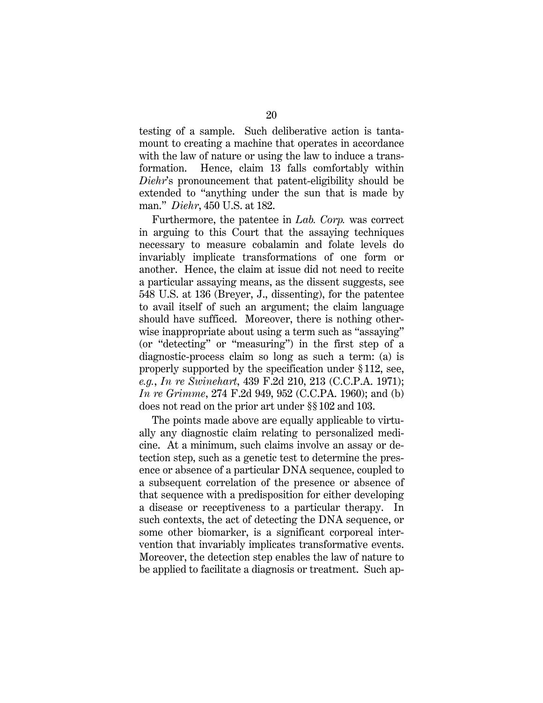testing of a sample. Such deliberative action is tantamount to creating a machine that operates in accordance with the law of nature or using the law to induce a transformation. Hence, claim 13 falls comfortably within *Diehr*'s pronouncement that patent-eligibility should be extended to "anything under the sun that is made by man." *Diehr*, 450 U.S. at 182.

Furthermore, the patentee in *Lab. Corp.* was correct in arguing to this Court that the assaying techniques necessary to measure cobalamin and folate levels do invariably implicate transformations of one form or another. Hence, the claim at issue did not need to recite a particular assaying means, as the dissent suggests, see 548 U.S. at 136 (Breyer, J., dissenting), for the patentee to avail itself of such an argument; the claim language should have sufficed. Moreover, there is nothing otherwise inappropriate about using a term such as "assaying" (or "detecting" or "measuring") in the first step of a diagnostic-process claim so long as such a term: (a) is properly supported by the specification under § 112, see, *e.g.*, *In re Swinehart*, 439 F.2d 210, 213 (C.C.P.A. 1971); *In re Grimme*, 274 F.2d 949, 952 (C.C.PA. 1960); and (b) does not read on the prior art under §§ 102 and 103.

The points made above are equally applicable to virtually any diagnostic claim relating to personalized medicine. At a minimum, such claims involve an assay or detection step, such as a genetic test to determine the presence or absence of a particular DNA sequence, coupled to a subsequent correlation of the presence or absence of that sequence with a predisposition for either developing a disease or receptiveness to a particular therapy. In such contexts, the act of detecting the DNA sequence, or some other biomarker, is a significant corporeal intervention that invariably implicates transformative events. Moreover, the detection step enables the law of nature to be applied to facilitate a diagnosis or treatment. Such ap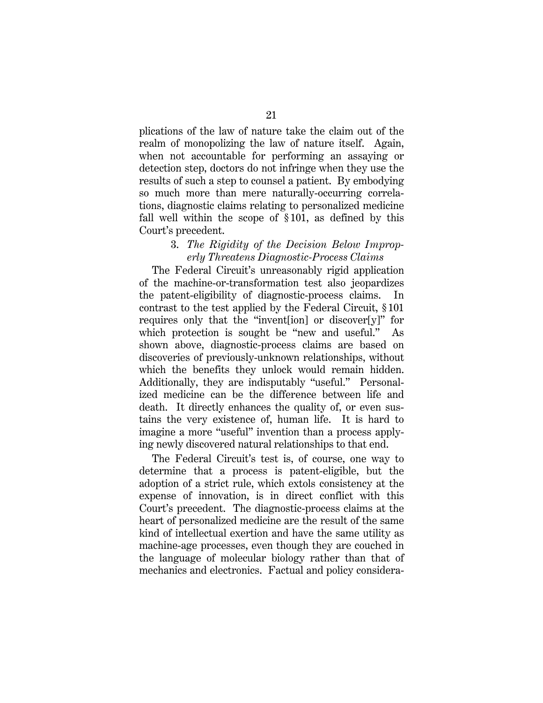plications of the law of nature take the claim out of the realm of monopolizing the law of nature itself. Again, when not accountable for performing an assaying or detection step, doctors do not infringe when they use the results of such a step to counsel a patient. By embodying so much more than mere naturally-occurring correlations, diagnostic claims relating to personalized medicine fall well within the scope of § 101, as defined by this Court's precedent.

## 3. *The Rigidity of the Decision Below Improperly Threatens Diagnostic-Process Claims*

The Federal Circuit's unreasonably rigid application of the machine-or-transformation test also jeopardizes the patent-eligibility of diagnostic-process claims. In contrast to the test applied by the Federal Circuit, § 101 requires only that the "invent[ion] or discover[y]" for which protection is sought be "new and useful." As shown above, diagnostic-process claims are based on discoveries of previously-unknown relationships, without which the benefits they unlock would remain hidden. Additionally, they are indisputably "useful." Personalized medicine can be the difference between life and death. It directly enhances the quality of, or even sustains the very existence of, human life. It is hard to imagine a more "useful" invention than a process applying newly discovered natural relationships to that end.

The Federal Circuit's test is, of course, one way to determine that a process is patent-eligible, but the adoption of a strict rule, which extols consistency at the expense of innovation, is in direct conflict with this Court's precedent. The diagnostic-process claims at the heart of personalized medicine are the result of the same kind of intellectual exertion and have the same utility as machine-age processes, even though they are couched in the language of molecular biology rather than that of mechanics and electronics. Factual and policy considera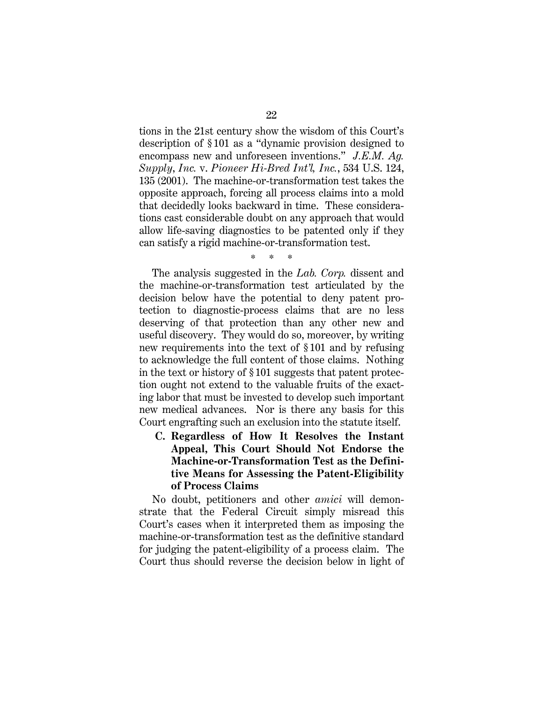tions in the 21st century show the wisdom of this Court's description of § 101 as a "dynamic provision designed to encompass new and unforeseen inventions." *J.E.M. Ag. Supply*, *Inc.* v. *Pioneer Hi-Bred Int'l, Inc.*, 534 U.S. 124, 135 (2001). The machine-or-transformation test takes the opposite approach, forcing all process claims into a mold that decidedly looks backward in time. These considerations cast considerable doubt on any approach that would allow life-saving diagnostics to be patented only if they can satisfy a rigid machine-or-transformation test.

\* \* \*

The analysis suggested in the *Lab. Corp.* dissent and the machine-or-transformation test articulated by the decision below have the potential to deny patent protection to diagnostic-process claims that are no less deserving of that protection than any other new and useful discovery. They would do so, moreover, by writing new requirements into the text of § 101 and by refusing to acknowledge the full content of those claims. Nothing in the text or history of § 101 suggests that patent protection ought not extend to the valuable fruits of the exacting labor that must be invested to develop such important new medical advances. Nor is there any basis for this Court engrafting such an exclusion into the statute itself.

**C. Regardless of How It Resolves the Instant Appeal, This Court Should Not Endorse the Machine-or-Transformation Test as the Definitive Means for Assessing the Patent-Eligibility of Process Claims** 

No doubt, petitioners and other *amici* will demonstrate that the Federal Circuit simply misread this Court's cases when it interpreted them as imposing the machine-or-transformation test as the definitive standard for judging the patent-eligibility of a process claim. The Court thus should reverse the decision below in light of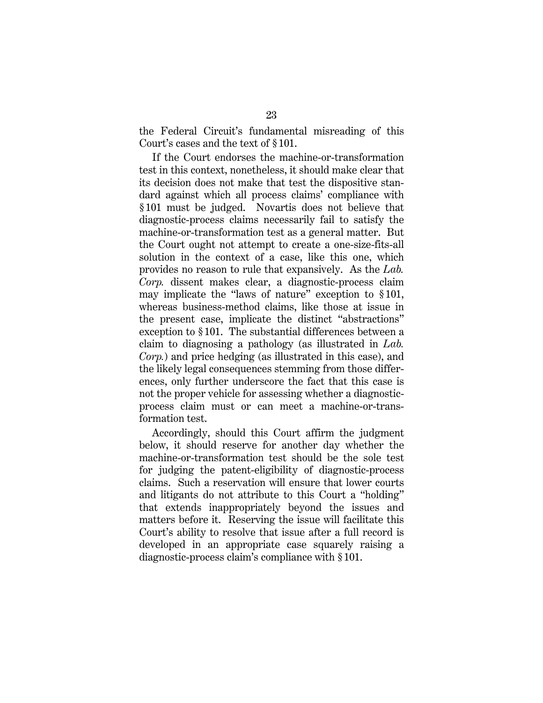the Federal Circuit's fundamental misreading of this Court's cases and the text of § 101.

If the Court endorses the machine-or-transformation test in this context, nonetheless, it should make clear that its decision does not make that test the dispositive standard against which all process claims' compliance with § 101 must be judged. Novartis does not believe that diagnostic-process claims necessarily fail to satisfy the machine-or-transformation test as a general matter. But the Court ought not attempt to create a one-size-fits-all solution in the context of a case, like this one, which provides no reason to rule that expansively. As the *Lab. Corp.* dissent makes clear, a diagnostic-process claim may implicate the "laws of nature" exception to § 101, whereas business-method claims, like those at issue in the present case, implicate the distinct "abstractions" exception to § 101. The substantial differences between a claim to diagnosing a pathology (as illustrated in *Lab. Corp.*) and price hedging (as illustrated in this case), and the likely legal consequences stemming from those differences, only further underscore the fact that this case is not the proper vehicle for assessing whether a diagnosticprocess claim must or can meet a machine-or-transformation test.

Accordingly, should this Court affirm the judgment below, it should reserve for another day whether the machine-or-transformation test should be the sole test for judging the patent-eligibility of diagnostic-process claims. Such a reservation will ensure that lower courts and litigants do not attribute to this Court a "holding" that extends inappropriately beyond the issues and matters before it. Reserving the issue will facilitate this Court's ability to resolve that issue after a full record is developed in an appropriate case squarely raising a diagnostic-process claim's compliance with § 101.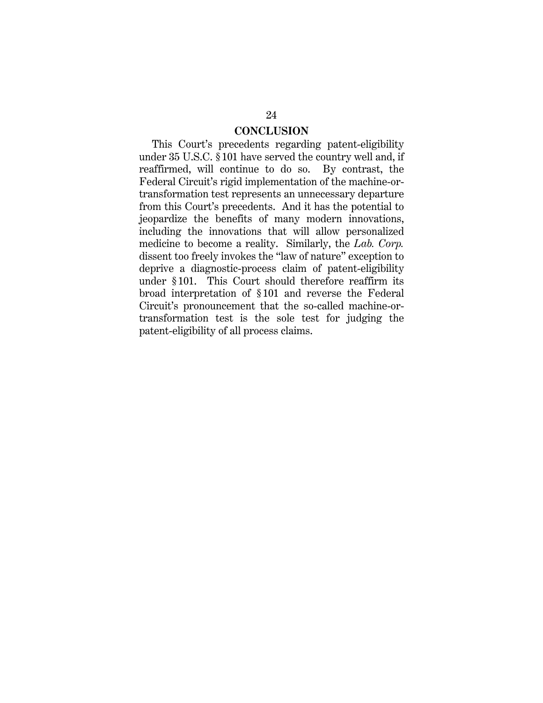## **CONCLUSION**

This Court's precedents regarding patent-eligibility under 35 U.S.C. § 101 have served the country well and, if reaffirmed, will continue to do so. By contrast, the Federal Circuit's rigid implementation of the machine-ortransformation test represents an unnecessary departure from this Court's precedents. And it has the potential to jeopardize the benefits of many modern innovations, including the innovations that will allow personalized medicine to become a reality. Similarly, the *Lab. Corp.* dissent too freely invokes the "law of nature" exception to deprive a diagnostic-process claim of patent-eligibility under § 101. This Court should therefore reaffirm its broad interpretation of § 101 and reverse the Federal Circuit's pronouncement that the so-called machine-ortransformation test is the sole test for judging the patent-eligibility of all process claims.